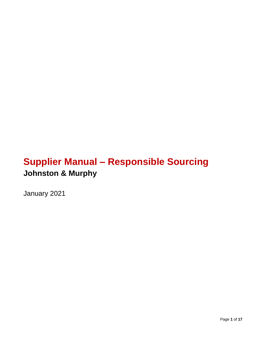# **Supplier Manual – Responsible Sourcing Johnston & Murphy**

January 2021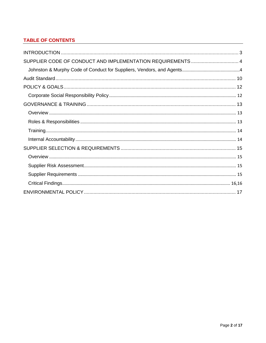# **TABLE OF CONTENTS**

| SUPPLIER CODE OF CONDUCT AND IMPLEMENTATION REQUIREMENTS  4 |  |
|-------------------------------------------------------------|--|
|                                                             |  |
|                                                             |  |
|                                                             |  |
|                                                             |  |
|                                                             |  |
|                                                             |  |
|                                                             |  |
|                                                             |  |
|                                                             |  |
|                                                             |  |
|                                                             |  |
|                                                             |  |
|                                                             |  |
|                                                             |  |
|                                                             |  |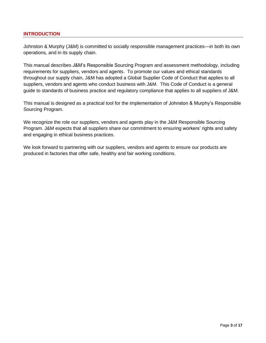## <span id="page-2-0"></span>**INTRODUCTION**

Johnston & Murphy (J&M) is committed to socially responsible management practices—in both its own operations, and in its supply chain.

This manual describes J&M's Responsible Sourcing Program and assessment methodology, including requirements for suppliers, vendors and agents. To promote our values and ethical standards throughout our supply chain, J&M has adopted a Global Supplier Code of Conduct that applies to all suppliers, vendors and agents who conduct business with J&M. This Code of Conduct is a general guide to standards of business practice and regulatory compliance that applies to all suppliers of J&M.

This manual is designed as a practical tool for the implementation of Johnston & Murphy's Responsible Sourcing Program.

We recognize the role our suppliers, vendors and agents play in the J&M Responsible Sourcing Program. J&M expects that all suppliers share our commitment to ensuring workers' rights and safety and engaging in ethical business practices.

We look forward to partnering with our suppliers, vendors and agents to ensure our products are produced in factories that offer safe, healthy and fair working conditions.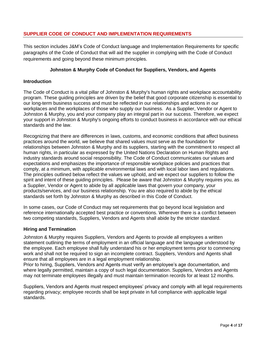## <span id="page-3-0"></span>**SUPPLIER CODE OF CONDUCT AND IMPLEMENTATION REQUIREMENTS**

This section includes J&M's Code of Conduct language and Implementation Requirements for specific paragraphs of the Code of Conduct that will aid the supplier in complying with the Code of Conduct requirements and going beyond these minimum principles.

## **Johnston & Murphy Code of Conduct for Suppliers, Vendors, and Agents**

## <span id="page-3-1"></span>**Introduction**

The Code of Conduct is a vital pillar of Johnston & Murphy's human rights and workplace accountability program. These guiding principles are driven by the belief that good corporate citizenship is essential to our long-term business success and must be reflected in our relationships and actions in our workplaces and the workplaces of those who supply our business. As a Supplier, Vendor or Agent to Johnston & Murphy, you and your company play an integral part in our success. Therefore, we expect your support in Johnston & Murphy's ongoing efforts to conduct business in accordance with our ethical standards and the law.

Recognizing that there are differences in laws, customs, and economic conditions that affect business practices around the world, we believe that shared values must serve as the foundation for relationships between Johnston & Murphy and its suppliers, starting with the commitment to respect all human rights, in particular as expressed by the United Nations Declaration on Human Rights and industry standards around social responsibility. The Code of Conduct communicates our values and expectations and emphasizes the importance of responsible workplace policies and practices that comply, at a minimum, with applicable environmental laws and with local labor laws and regulations. The principles outlined below reflect the values we uphold, and we expect our suppliers to follow the spirit and intent of these guiding principles. Please be aware that Johnston & Murphy requires you, as a Supplier, Vendor or Agent to abide by all applicable laws that govern your company, your products/services, and our business relationship. You are also required to abide by the ethical standards set forth by Johnston & Murphy as described in this Code of Conduct.

In some cases, our Code of Conduct may set requirements that go beyond local legislation and reference internationally accepted best practice or conventions. Wherever there is a conflict between two competing standards, Suppliers, Vendors and Agents shall abide by the stricter standard.

#### **Hiring and Termination**

Johnston & Murphy requires Suppliers, Vendors and Agents to provide all employees a written statement outlining the terms of employment in an official language and the language understood by the employee. Each employee shall fully understand his or her employment terms prior to commencing work and shall not be required to sign an incomplete contract. Suppliers, Vendors and Agents shall ensure that all employees are in a legal employment relationship.

Prior to hiring, Suppliers, Vendors and Agents must verify an employee's age documentation, and where legally permitted, maintain a copy of such legal documentation. Suppliers, Vendors and Agents may not terminate employees illegally and must maintain termination records for at least 12 months.

Suppliers, Vendors and Agents must respect employees' privacy and comply with all legal requirements regarding privacy; employee records shall be kept private in full compliance with applicable legal standards.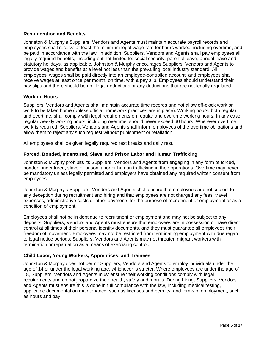## **Remuneration and Benefits**

Johnston & Murphy's Suppliers, Vendors and Agents must maintain accurate payroll records and employees shall receive at least the minimum legal wage rate for hours worked, including overtime, and be paid in accordance with the law. In addition, Suppliers, Vendors and Agents shall pay employees all legally required benefits, including but not limited to: social security, parental leave, annual leave and statutory holidays, as applicable. Johnston & Murphy encourages Suppliers, Vendors and Agents to provide wages and benefits at a level not less than the prevailing local industry standard. All employees' wages shall be paid directly into an employee-controlled account, and employees shall receive wages at least once per month, on time, with a pay slip. Employees should understand their pay slips and there should be no illegal deductions or any deductions that are not legally regulated.

## **Working Hours**

Suppliers, Vendors and Agents shall maintain accurate time records and not allow off-clock work or work to be taken home (unless official homework practices are in place). Working hours, both regular and overtime, shall comply with legal requirements on regular and overtime working hours. In any case, regular weekly working hours, including overtime, should never exceed 60 hours. Wherever overtime work is required, Suppliers, Vendors and Agents shall inform employees of the overtime obligations and allow them to reject any such request without punishment or retaliation.

All employees shall be given legally required rest breaks and daily rest.

#### **Forced, Bonded, Indentured, Slave, and Prison Labor and Human Trafficking**

Johnston & Murphy prohibits its Suppliers, Vendors and Agents from engaging in any form of forced, bonded, indentured, slave or prison labor or human trafficking in their operations. Overtime may never be mandatory unless legally permitted and employers have obtained any required written consent from employees.

Johnston & Murphy's Suppliers, Vendors and Agents shall ensure that employees are not subject to any deception during recruitment and hiring and that employees are not charged any fees, travel expenses, administrative costs or other payments for the purpose of recruitment or employment or as a condition of employment.

Employees shall not be in debt due to recruitment or employment and may not be subject to any deposits. Suppliers, Vendors and Agents must ensure that employees are in possession or have direct control at all times of their personal identity documents, and they must guarantee all employees their freedom of movement. Employees may not be restricted from terminating employment with due regard to legal notice periods; Suppliers, Vendors and Agents may not threaten migrant workers with termination or repatriation as a means of exercising control.

#### **Child Labor, Young Workers, Apprentices, and Trainees**

Johnston & Murphy does not permit Suppliers, Vendors and Agents to employ individuals under the age of 14 or under the legal working age, whichever is stricter. Where employees are under the age of 18, Suppliers, Vendors and Agents must ensure their working conditions comply with legal requirements and do not jeopardize their health, safety and morals. During hiring, Suppliers, Vendors and Agents must ensure this is done in full compliance with the law, including medical testing, applicable documentation maintenance, such as licenses and permits, and terms of employment, such as hours and pay.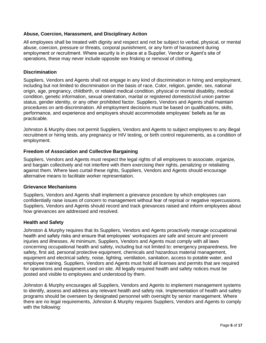## **Abuse, Coercion, Harassment, and Disciplinary Action**

All employees shall be treated with dignity and respect and not be subject to verbal, physical, or mental abuse, coercion, pressure or threats, corporal punishment, or any form of harassment during employment or recruitment. Where security is in place at a Supplier, Vendor or Agent's site of operations, these may never include opposite sex frisking or removal of clothing.

## **Discrimination**

Suppliers, Vendors and Agents shall not engage in any kind of discrimination in hiring and employment, including but not limited to discrimination on the basis of race, Color, religion, gender, sex, national origin, age, pregnancy, childbirth, or related medical condition, physical or mental disability, medical condition, genetic information, sexual orientation, marital or registered domestic/civil union partner status, gender identity, or any other prohibited factor. Suppliers, Vendors and Agents shall maintain procedures on anti-discrimination. All employment decisions must be based on qualifications, skills, performance, and experience and employers should accommodate employees' beliefs as far as practicable.

Johnston & Murphy does not permit Suppliers, Vendors and Agents to subject employees to any illegal recruitment or hiring tests, any pregnancy or HIV testing, or birth control requirements, as a condition of employment.

## **Freedom of Association and Collective Bargaining**

Suppliers, Vendors and Agents must respect the legal rights of all employees to associate, organize, and bargain collectively and not interfere with them exercising their rights, penalizing or retaliating against them. Where laws curtail these rights, Suppliers, Vendors and Agents should encourage alternative means to facilitate worker representation.

#### **Grievance Mechanisms**

Suppliers, Vendors and Agents shall implement a grievance procedure by which employees can confidentially raise issues of concern to management without fear of reprisal or negative repercussions. Suppliers, Vendors and Agents should record and track grievances raised and inform employees about how grievances are addressed and resolved.

## **Health and Safety**

Johnston & Murphy requires that its Suppliers, Vendors and Agents proactively manage occupational health and safety risks and ensure that employees' workspaces are safe and secure and prevent injuries and illnesses. At minimum, Suppliers, Vendors and Agents must comply with all laws concerning occupational health and safety, including but not limited to: emergency preparedness, fire safety, first aid, personal protective equipment, chemicals and hazardous material management, equipment and electrical safety, noise, lighting, ventilation, sanitation, access to potable water, and employee training. Suppliers, Vendors and Agents must hold all licenses and permits that are required for operations and equipment used on site. All legally required health and safety notices must be posted and visible to employees and understood by them.

Johnston & Murphy encourages all Suppliers, Vendors and Agents to implement management systems to identify, assess and address any relevant health and safety risk. Implementation of health and safety programs should be overseen by designated personnel with oversight by senior management. Where there are no legal requirements, Johnston & Murphy requires Suppliers, Vendors and Agents to comply with the following: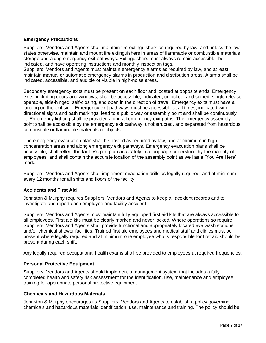## **Emergency Precautions**

Suppliers, Vendors and Agents shall maintain fire extinguishers as required by law, and unless the law states otherwise, maintain and mount fire extinguishers in areas of flammable or combustible materials storage and along emergency exit pathways. Extinguishers must always remain accessible, be indicated, and have operating instructions and monthly inspection tags.

Suppliers, Vendors and Agents must maintain emergency alarms as required by law, and at least maintain manual or automatic emergency alarms in production and distribution areas. Alarms shall be indicated, accessible, and audible or visible in high-noise areas.

Secondary emergency exits must be present on each floor and located at opposite ends. Emergency exits, including doors and windows, shall be accessible, indicated, unlocked, and signed, single release operable, side-hinged, self-closing, and open in the direction of travel. Emergency exits must have a landing on the exit side. Emergency exit pathways must be accessible at all times, indicated with directional signs and path markings, lead to a public way or assembly point and shall be continuously lit. Emergency lighting shall be provided along all emergency exit paths. The emergency assembly point shall be accessible by the emergency exit pathway, unobstructed, and separated from hazardous, combustible or flammable materials or objects.

The emergency evacuation plan shall be posted as required by law, and at minimum in highconcentration areas and along emergency exit pathways. Emergency evacuation plans shall be accessible, shall reflect the facility's plot plan accurately in a language understood by the majority of employees, and shall contain the accurate location of the assembly point as well as a "You Are Here" mark.

Suppliers, Vendors and Agents shall implement evacuation drills as legally required, and at minimum every 12 months for all shifts and floors of the facility.

## **Accidents and First Aid**

Johnston & Murphy requires Suppliers, Vendors and Agents to keep all accident records and to investigate and report each employee and facility accident.

Suppliers, Vendors and Agents must maintain fully equipped first aid kits that are always accessible to all employees. First aid kits must be clearly marked and never locked. Where operations so require, Suppliers, Vendors and Agents shall provide functional and appropriately located eye wash stations and/or chemical shower facilities. Trained first aid employees and medical staff and clinics must be present where legally required and at minimum one employee who is responsible for first aid should be present during each shift.

Any legally required occupational health exams shall be provided to employees at required frequencies.

#### **Personal Protective Equipment**

Suppliers, Vendors and Agents should implement a management system that includes a fully completed health and safety risk assessment for the identification, use, maintenance and employee training for appropriate personal protective equipment.

#### **Chemicals and Hazardous Materials**

Johnston & Murphy encourages its Suppliers, Vendors and Agents to establish a policy governing chemicals and hazardous materials identification, use, maintenance and training. The policy should be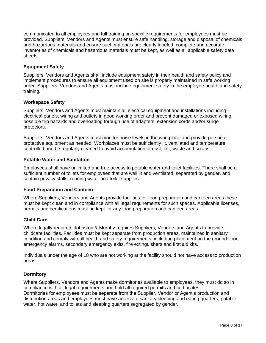communicated to all employees and full training on specific requirements for employees must be provided. Suppliers, Vendors and Agents must ensure safe handling, storage and disposal of chemicals and hazardous materials and ensure such materials are clearly labeled; complete and accurate inventories of chemicals and hazardous materials must be kept, as well as all applicable safety data sheets.

## **Equipment Safety**

Suppliers, Vendors and Agents shall include equipment safety in their health and safety policy and implement procedures to ensure all equipment used on site is properly maintained in safe working order. Suppliers, Vendors and Agents must include equipment safety in the employee health and safety training.

## **Workspace Safety**

Suppliers, Vendors and Agents must maintain all electrical equipment and installations including electrical panels, wiring and outlets in good working order and prevent damaged or exposed wiring, possible trip hazards and overloading through use of adapters, extension cords and/or surge protectors.

Suppliers, Vendors and Agents must monitor noise levels in the workplace and provide personal protective equipment as needed. Workplaces must be sufficiently lit, ventilated and temperature controlled and be regularly cleaned to avoid accumulation of dust, lint, waste and scraps.

## **Potable Water and Sanitation**

Employees shall have unlimited and free access to potable water and toilet facilities. There shall be a sufficient number of toilets for employees that are well lit and ventilated, separated by gender, and contain privacy stalls, running water and toilet supplies.

## **Food Preparation and Canteen**

Where Suppliers, Vendors and Agents provide facilities for food preparation and canteen areas these must be kept clean and in compliance with all legal requirements for such spaces. Applicable licenses, permits and certifications must be kept for any food preparation and canteen areas.

## **Child Care**

Where legally required, Johnston & Murphy requires Suppliers, Vendors and Agents to provide childcare facilities. Facilities must be kept separate from production areas, maintained in sanitary condition and comply with all health and safety requirements, including placement on the ground floor, emergency alarms, secondary emergency exits, fire extinguishers and first aid kits.

Individuals under the age of 18 who are not working at the facility should not have access to production areas.

## **Dormitory**

Where Suppliers, Vendors and Agents make dormitories available to employees, they must do so in compliance with all legal requirements and hold all required permits and certificates. Dormitories for employees must be separate from the Supplier, Vendor or Agent's production and distribution areas and employees must have access to sanitary sleeping and eating quarters, potable water, hot water, and toilets and sleeping quarters segregated by gender.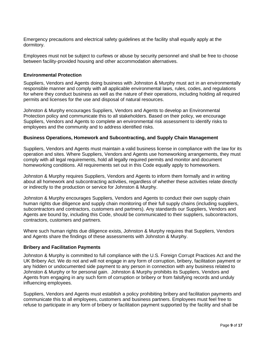Emergency precautions and electrical safety guidelines at the facility shall equally apply at the dormitory.

Employees must not be subject to curfews or abuse by security personnel and shall be free to choose between facility-provided housing and other accommodation alternatives.

#### **Environmental Protection**

Suppliers, Vendors and Agents doing business with Johnston & Murphy must act in an environmentally responsible manner and comply with all applicable environmental laws, rules, codes, and regulations for where they conduct business as well as the nature of their operations, including holding all required permits and licenses for the use and disposal of natural resources.

Johnston & Murphy encourages Suppliers, Vendors and Agents to develop an Environmental Protection policy and communicate this to all stakeholders. Based on their policy, we encourage Suppliers, Vendors and Agents to complete an environmental risk assessment to identify risks to employees and the community and to address identified risks.

#### **Business Operations, Homework and Subcontracting, and Supply Chain Management**

Suppliers, Vendors and Agents must maintain a valid business license in compliance with the law for its operation and sites. Where Suppliers, Vendors and Agents use homeworking arrangements, they must comply with all legal requirements, hold all legally required permits and monitor and document homeworking conditions. All requirements set out in this Code equally apply to homeworkers.

Johnston & Murphy requires Suppliers, Vendors and Agents to inform them formally and in writing about all homework and subcontracting activities, regardless of whether these activities relate directly or indirectly to the production or service for Johnston & Murphy.

Johnston & Murphy encourages Suppliers, Vendors and Agents to conduct their own supply chain human rights due diligence and supply chain monitoring of their full supply chains (including suppliers, subcontractors and contractors, customers and partners). Any standards our Suppliers, Vendors and Agents are bound by, including this Code, should be communicated to their suppliers, subcontractors, contractors, customers and partners.

Where such human rights due diligence exists, Johnston & Murphy requires that Suppliers, Vendors and Agents share the findings of these assessments with Johnston & Murphy.

#### **Bribery and Facilitation Payments**

Johnston & Murphy is committed to full compliance with the U.S. Foreign Corrupt Practices Act and the UK Bribery Act. We do not and will not engage in any form of corruption, bribery, facilitation payment or any hidden or undocumented side payment to any person in connection with any business related to Johnston & Murphy or for personal gain. Johnston & Murphy prohibits its Suppliers, Vendors and Agents from engaging in any such form of corruption or bribery or from falsifying records and unduly influencing employees.

Suppliers, Vendors and Agents must establish a policy prohibiting bribery and facilitation payments and communicate this to all employees, customers and business partners. Employees must feel free to refuse to participate in any form of bribery or facilitation payment supported by the facility and shall be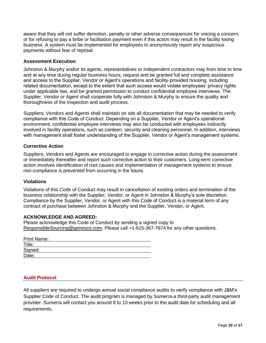aware that they will not suffer demotion, penalty or other adverse consequences for voicing a concern, or for refusing to pay a bribe or facilitation payment even if this action may result in the facility losing business. A system must be implemented for employees to anonymously report any suspicious payments without fear of reprisal.

## **Assessment Execution**

Johnston & Murphy and/or its agents, representatives or independent contractors may from time to time and at any time during regular business hours, request and be granted full and complete assistance and access to the Supplier, Vendor or Agent's operations and facility-provided housing, including related documentation, except to the extent that such access would violate employees' privacy rights under applicable law, and be granted permission to conduct confidential employee interviews. The Supplier, Vendor or Agent shall cooperate fully with Johnston & Murphy to ensure the quality and thoroughness of the inspection and audit process.

Suppliers, Vendors and Agents shall maintain on site all documentation that may be needed to verify compliance with this Code of Conduct. Depending on a Supplier, Vendor or Agent's operational environment, confidential employee interviews may also be conducted with employees indirectly involved in facility operations, such as canteen, security and cleaning personnel. In addition, interviews with management shall foster understanding of the Supplier, Vendor or Agent's management systems.

### **Corrective Action**

Suppliers, Vendors and Agents are encouraged to engage in corrective action during the assessment or immediately thereafter and report such corrective action to their customers. Long-term corrective action involves identification of root causes and implementation of management systems to ensure non-compliance is prevented from occurring in the future.

#### **Violations**

Violations of this Code of Conduct may result in cancellation of existing orders and termination of the business relationship with the Supplier, Vendor, or Agent in Johnston & Murphy's sole discretion. Compliance by the Supplier, Vendor, or Agent with this Code of Conduct is a material term of any contract of purchase between Johnston & Murphy and the Supplier, Vendor, or Agent.

#### **ACKNOWLEDGE AND AGREED:**

Please acknowledge this Code of Conduct by sending a signed copy to [ResponsibleSourcing@genesco.com.](mailto:ResponsibleSourcing@genesco.com) Please call +1-615-367-7674 for any other questions.

| <b>Print Name:</b> |  |  |
|--------------------|--|--|
| Title:             |  |  |
| Signed:<br>Date:   |  |  |
|                    |  |  |
|                    |  |  |

#### <span id="page-9-0"></span>**Audit Protocol**

All suppliers are required to undergo annual social compliance audits to verify compliance with J&M's Supplier Code of Conduct. The audit program is managed by Sumerra-a third-party audit management provider. Sumerra will contact you around 8 to 10 weeks prior to the audit date for scheduling and all requirements.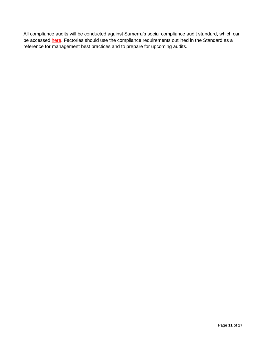All compliance audits will be conducted against Sumerra's social compliance audit standard, which can be accessed **here**. Factories should use the compliance requirements outlined in the Standard as a reference for management best practices and to prepare for upcoming audits.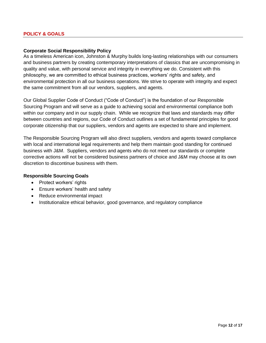#### <span id="page-11-1"></span><span id="page-11-0"></span>**Corporate Social Responsibility Policy**

As a timeless American icon, Johnston & Murphy builds long-lasting relationships with our consumers and business partners by creating contemporary interpretations of classics that are uncompromising in quality and value, with personal service and integrity in everything we do. Consistent with this philosophy, we are committed to ethical business practices, workers' rights and safety, and environmental protection in all our business operations. We strive to operate with integrity and expect the same commitment from all our vendors, suppliers, and agents.

Our Global Supplier Code of Conduct ("Code of Conduct") is the foundation of our Responsible Sourcing Program and will serve as a guide to achieving social and environmental compliance both within our company and in our supply chain. While we recognize that laws and standards may differ between countries and regions, our Code of Conduct outlines a set of fundamental principles for good corporate citizenship that our suppliers, vendors and agents are expected to share and implement.

The Responsible Sourcing Program will also direct suppliers, vendors and agents toward compliance with local and international legal requirements and help them maintain good standing for continued business with J&M. Suppliers, vendors and agents who do not meet our standards or complete corrective actions will not be considered business partners of choice and J&M may choose at its own discretion to discontinue business with them.

## **Responsible Sourcing Goals**

- Protect workers' rights
- Ensure workers' health and safety
- Reduce environmental impact
- Institutionalize ethical behavior, good governance, and regulatory compliance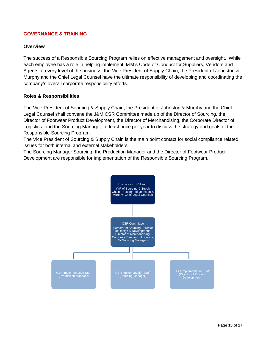## <span id="page-12-0"></span>**GOVERNANCE & TRAINING**

#### <span id="page-12-1"></span>**Overview**

The success of a Responsible Sourcing Program relies on effective management and oversight. While each employee has a role in helping implement J&M's Code of Conduct for Suppliers, Vendors and Agents at every level of the business, the Vice President of Supply Chain, the President of Johnston & Murphy and the Chief Legal Counsel have the ultimate responsibility of developing and coordinating the company's overall corporate responsibility efforts.

### <span id="page-12-2"></span>**Roles & Responsibilities**

The Vice President of Sourcing & Supply Chain, the President of Johnston & Murphy and the Chief Legal Counsel shall convene the J&M CSR Committee made up of the Director of Sourcing, the Director of Footwear Product Development, the Director of Merchandising, the Corporate Director of Logistics, and the Sourcing Manager, at least once per year to discuss the strategy and goals of the Responsible Sourcing Program.

The Vice President of Sourcing & Supply Chain is the main point contact for social compliance related issues for both internal and external stakeholders.

The Sourcing Manager Sourcing, the Production Manager and the Director of Footwear Product Development are responsible for implementation of the Responsible Sourcing Program.

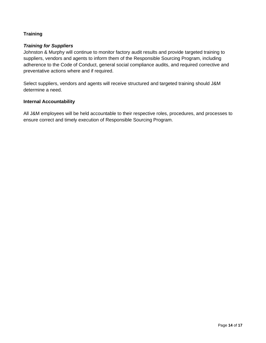## <span id="page-13-0"></span>**Training**

## *Training for Suppliers*

Johnston & Murphy will continue to monitor factory audit results and provide targeted training to suppliers, vendors and agents to inform them of the Responsible Sourcing Program, including adherence to the Code of Conduct, general social compliance audits, and required corrective and preventative actions where and if required.

Select suppliers, vendors and agents will receive structured and targeted training should J&M determine a need.

### <span id="page-13-1"></span>**Internal Accountability**

All J&M employees will be held accountable to their respective roles, procedures, and processes to ensure correct and timely execution of Responsible Sourcing Program.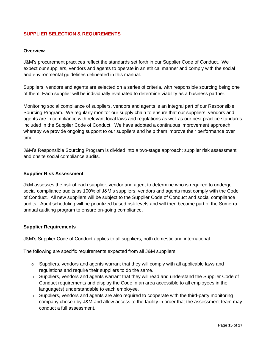### <span id="page-14-1"></span><span id="page-14-0"></span>**Overview**

J&M's procurement practices reflect the standards set forth in our Supplier Code of Conduct. We expect our suppliers, vendors and agents to operate in an ethical manner and comply with the social and environmental guidelines delineated in this manual.

Suppliers, vendors and agents are selected on a series of criteria, with responsible sourcing being one of them. Each supplier will be individually evaluated to determine viability as a business partner.

Monitoring social compliance of suppliers, vendors and agents is an integral part of our Responsible Sourcing Program. We regularly monitor our supply chain to ensure that our suppliers, vendors and agents are in compliance with relevant local laws and regulations as well as our best practice standards included in the Supplier Code of Conduct. We have adopted a continuous improvement approach, whereby we provide ongoing support to our suppliers and help them improve their performance over time.

J&M's Responsible Sourcing Program is divided into a two-stage approach: supplier risk assessment and onsite social compliance audits.

## <span id="page-14-2"></span>**Supplier Risk Assessment**

J&M assesses the risk of each supplier, vendor and agent to determine who is required to undergo social compliance audits as 100% of J&M's suppliers, vendors and agents must comply with the Code of Conduct. All new suppliers will be subject to the Supplier Code of Conduct and social compliance audits. Audit scheduling will be prioritized based risk levels and will then become part of the Sumerra annual auditing program to ensure on-going compliance.

#### <span id="page-14-3"></span>**Supplier Requirements**

J&M's Supplier Code of Conduct applies to all suppliers, both domestic and international.

The following are specific requirements expected from all J&M suppliers:

- $\circ$  Suppliers, vendors and agents warrant that they will comply with all applicable laws and regulations and require their suppliers to do the same.
- o Suppliers, vendors and agents warrant that they will read and understand the Supplier Code of Conduct requirements and display the Code in an area accessible to all employees in the language(s) understandable to each employee.
- $\circ$  Suppliers, vendors and agents are also required to cooperate with the third-party monitoring company chosen by J&M and allow access to the facility in order that the assessment team may conduct a full assessment.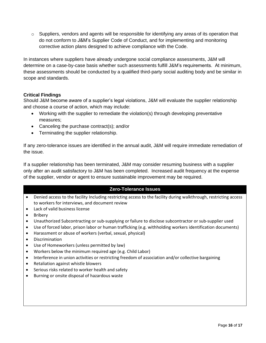$\circ$  Suppliers, vendors and agents will be responsible for identifying any areas of its operation that do not conform to J&M's Supplier Code of Conduct, and for implementing and monitoring corrective action plans designed to achieve compliance with the Code.

In instances where suppliers have already undergone social compliance assessments, J&M will determine on a case-by-case basis whether such assessments fulfill J&M's requirements. At minimum, these assessments should be conducted by a qualified third-party social auditing body and be similar in scope and standards.

## <span id="page-15-0"></span>**Critical Findings**

Should J&M become aware of a supplier's legal violations, J&M will evaluate the supplier relationship and choose a course of action, which may include:

- Working with the supplier to remediate the violation(s) through developing preventative measures;
- Canceling the purchase contract(s); and/or
- Terminating the supplier relationship.

If any zero-tolerance issues are identified in the annual audit, J&M will require immediate remediation of the issue.

If a supplier relationship has been terminated, J&M may consider resuming business with a supplier only after an audit satisfactory to J&M has been completed. Increased audit frequency at the expense of the supplier, vendor or agent to ensure sustainable improvement may be required.

# **Zero-Tolerance Issues**

- Denied access to the facility Including restricting access to the facility during walkthrough, restricting access to workers for interviews, and document review
- Lack of valid business license
- **Bribery**
- Unauthorized Subcontracting or sub-supplying or failure to disclose subcontractor or sub-supplier used
- Use of forced labor, prison labor or human trafficking (e.g. withholding workers identification documents)
- Harassment or abuse of workers (verbal, sexual, physical)
- Discrimination
- Use of Homeworkers (unless permitted by law)
- Workers below the minimum required age (e.g. Child Labor)
- Interference in union activities or restricting freedom of association and/or collective bargaining
- Retaliation against whistle blowers
- Serious risks related to worker health and safety
- Burning or onsite disposal of hazardous waste